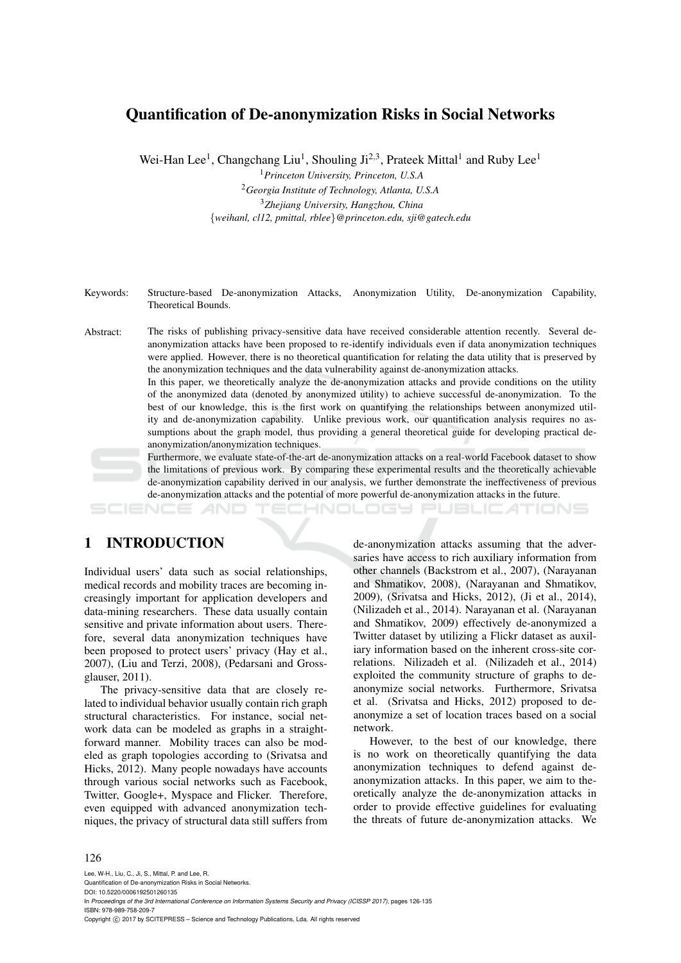# Quantification of De-anonymization Risks in Social Networks

Wei-Han Lee<sup>1</sup>, Changchang Liu<sup>1</sup>, Shouling Ji<sup>2,3</sup>, Prateek Mittal<sup>1</sup> and Ruby Lee<sup>1</sup>

<sup>1</sup>*Princeton University, Princeton, U.S.A*

<sup>2</sup>*Georgia Institute of Technology, Atlanta, U.S.A* <sup>3</sup>*Zhejiang University, Hangzhou, China* {*weihanl, cl12, pmittal, rblee*}*@princeton.edu, sji@gatech.edu*

- Keywords: Structure-based De-anonymization Attacks, Anonymization Utility, De-anonymization Capability, Theoretical Bounds.
- Abstract: The risks of publishing privacy-sensitive data have received considerable attention recently. Several deanonymization attacks have been proposed to re-identify individuals even if data anonymization techniques were applied. However, there is no theoretical quantification for relating the data utility that is preserved by the anonymization techniques and the data vulnerability against de-anonymization attacks.

In this paper, we theoretically analyze the de-anonymization attacks and provide conditions on the utility of the anonymized data (denoted by anonymized utility) to achieve successful de-anonymization. To the best of our knowledge, this is the first work on quantifying the relationships between anonymized utility and de-anonymization capability. Unlike previous work, our quantification analysis requires no assumptions about the graph model, thus providing a general theoretical guide for developing practical deanonymization/anonymization techniques.

Furthermore, we evaluate state-of-the-art de-anonymization attacks on a real-world Facebook dataset to show the limitations of previous work. By comparing these experimental results and the theoretically achievable de-anonymization capability derived in our analysis, we further demonstrate the ineffectiveness of previous de-anonymization attacks and the potential of more powerful de-anonymization attacks in the future.

**PUBLICATIONS** HNOLOGY

## 1 INTRODUCTION

Individual users' data such as social relationships, medical records and mobility traces are becoming increasingly important for application developers and data-mining researchers. These data usually contain sensitive and private information about users. Therefore, several data anonymization techniques have been proposed to protect users' privacy (Hay et al., 2007), (Liu and Terzi, 2008), (Pedarsani and Grossglauser, 2011).

The privacy-sensitive data that are closely related to individual behavior usually contain rich graph structural characteristics. For instance, social network data can be modeled as graphs in a straightforward manner. Mobility traces can also be modeled as graph topologies according to (Srivatsa and Hicks, 2012). Many people nowadays have accounts through various social networks such as Facebook, Twitter, Google+, Myspace and Flicker. Therefore, even equipped with advanced anonymization techniques, the privacy of structural data still suffers from

de-anonymization attacks assuming that the adversaries have access to rich auxiliary information from other channels (Backstrom et al., 2007), (Narayanan and Shmatikov, 2008), (Narayanan and Shmatikov, 2009), (Srivatsa and Hicks, 2012), (Ji et al., 2014), (Nilizadeh et al., 2014). Narayanan et al. (Narayanan and Shmatikov, 2009) effectively de-anonymized a Twitter dataset by utilizing a Flickr dataset as auxiliary information based on the inherent cross-site correlations. Nilizadeh et al. (Nilizadeh et al., 2014) exploited the community structure of graphs to deanonymize social networks. Furthermore, Srivatsa et al. (Srivatsa and Hicks, 2012) proposed to deanonymize a set of location traces based on a social network.

However, to the best of our knowledge, there is no work on theoretically quantifying the data anonymization techniques to defend against deanonymization attacks. In this paper, we aim to theoretically analyze the de-anonymization attacks in order to provide effective guidelines for evaluating the threats of future de-anonymization attacks. We

#### 126

Lee, W-H., Liu, C., Ji, S., Mittal, P. and Lee, R. Quantification of De-anonymization Risks in Social Networks. DOI: 10.5220/0006192501260135 In *Proceedings of the 3rd International Conference on Information Systems Security and Privacy (ICISSP 2017)*, pages 126-135 ISBN: 978-989-758-209-7 Copyright C 2017 by SCITEPRESS – Science and Technology Publications, Lda. All rights reserved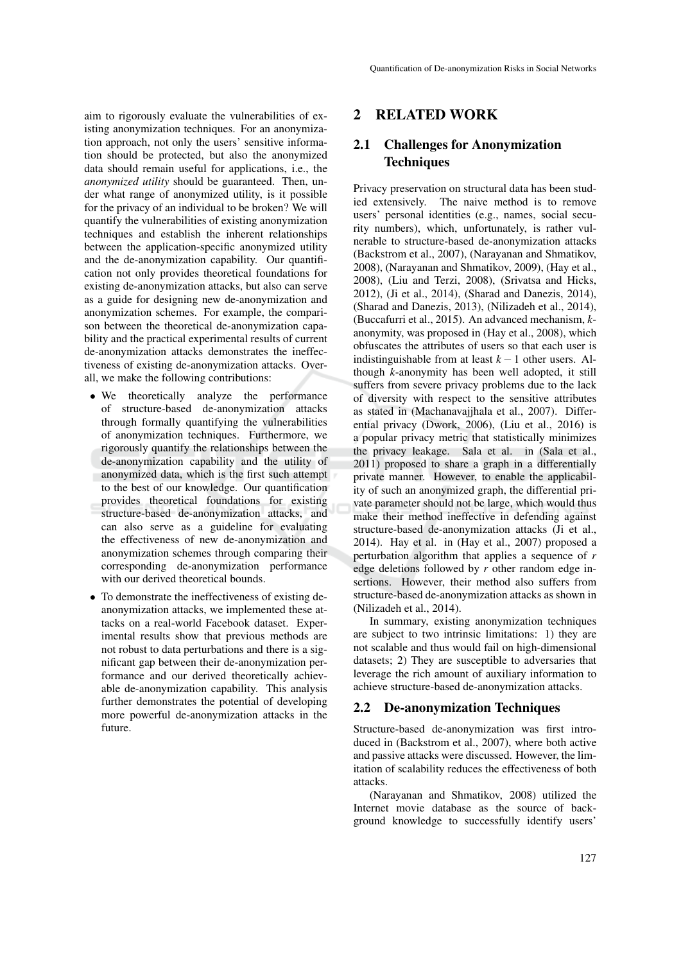aim to rigorously evaluate the vulnerabilities of existing anonymization techniques. For an anonymization approach, not only the users' sensitive information should be protected, but also the anonymized data should remain useful for applications, i.e., the *anonymized utility* should be guaranteed. Then, under what range of anonymized utility, is it possible for the privacy of an individual to be broken? We will quantify the vulnerabilities of existing anonymization techniques and establish the inherent relationships between the application-specific anonymized utility and the de-anonymization capability. Our quantification not only provides theoretical foundations for existing de-anonymization attacks, but also can serve as a guide for designing new de-anonymization and anonymization schemes. For example, the comparison between the theoretical de-anonymization capability and the practical experimental results of current de-anonymization attacks demonstrates the ineffectiveness of existing de-anonymization attacks. Overall, we make the following contributions:

- We theoretically analyze the performance of structure-based de-anonymization attacks through formally quantifying the vulnerabilities of anonymization techniques. Furthermore, we rigorously quantify the relationships between the de-anonymization capability and the utility of anonymized data, which is the first such attempt to the best of our knowledge. Our quantification provides theoretical foundations for existing structure-based de-anonymization attacks, and can also serve as a guideline for evaluating the effectiveness of new de-anonymization and anonymization schemes through comparing their corresponding de-anonymization performance with our derived theoretical bounds.
- To demonstrate the ineffectiveness of existing deanonymization attacks, we implemented these attacks on a real-world Facebook dataset. Experimental results show that previous methods are not robust to data perturbations and there is a significant gap between their de-anonymization performance and our derived theoretically achievable de-anonymization capability. This analysis further demonstrates the potential of developing more powerful de-anonymization attacks in the future.

### 2 RELATED WORK

## 2.1 Challenges for Anonymization **Techniques**

Privacy preservation on structural data has been studied extensively. The naive method is to remove users' personal identities (e.g., names, social security numbers), which, unfortunately, is rather vulnerable to structure-based de-anonymization attacks (Backstrom et al., 2007), (Narayanan and Shmatikov, 2008), (Narayanan and Shmatikov, 2009), (Hay et al., 2008), (Liu and Terzi, 2008), (Srivatsa and Hicks, 2012), (Ji et al., 2014), (Sharad and Danezis, 2014), (Sharad and Danezis, 2013), (Nilizadeh et al., 2014), (Buccafurri et al., 2015). An advanced mechanism, *k*anonymity, was proposed in (Hay et al., 2008), which obfuscates the attributes of users so that each user is indistinguishable from at least  $k - 1$  other users. Although *k*-anonymity has been well adopted, it still suffers from severe privacy problems due to the lack of diversity with respect to the sensitive attributes as stated in (Machanavajjhala et al., 2007). Differential privacy (Dwork, 2006), (Liu et al., 2016) is a popular privacy metric that statistically minimizes the privacy leakage. Sala et al. in (Sala et al., 2011) proposed to share a graph in a differentially private manner. However, to enable the applicability of such an anonymized graph, the differential private parameter should not be large, which would thus make their method ineffective in defending against structure-based de-anonymization attacks (Ji et al., 2014). Hay et al. in (Hay et al., 2007) proposed a perturbation algorithm that applies a sequence of *r* edge deletions followed by *r* other random edge insertions. However, their method also suffers from structure-based de-anonymization attacks as shown in (Nilizadeh et al., 2014).

In summary, existing anonymization techniques are subject to two intrinsic limitations: 1) they are not scalable and thus would fail on high-dimensional datasets; 2) They are susceptible to adversaries that leverage the rich amount of auxiliary information to achieve structure-based de-anonymization attacks.

### 2.2 De-anonymization Techniques

Structure-based de-anonymization was first introduced in (Backstrom et al., 2007), where both active and passive attacks were discussed. However, the limitation of scalability reduces the effectiveness of both attacks.

(Narayanan and Shmatikov, 2008) utilized the Internet movie database as the source of background knowledge to successfully identify users'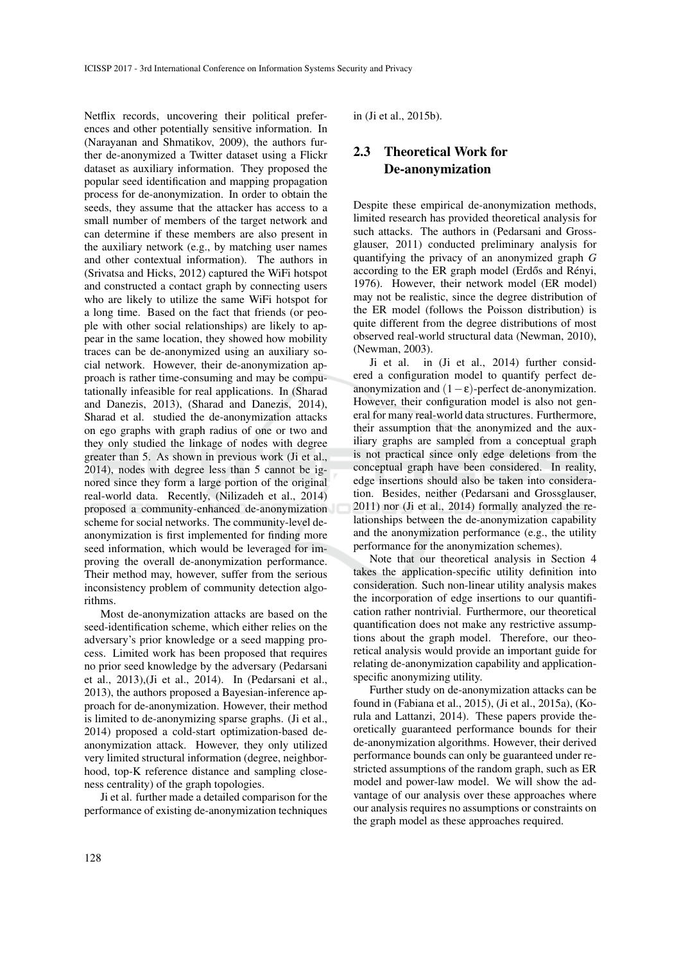Netflix records, uncovering their political preferences and other potentially sensitive information. In (Narayanan and Shmatikov, 2009), the authors further de-anonymized a Twitter dataset using a Flickr dataset as auxiliary information. They proposed the popular seed identification and mapping propagation process for de-anonymization. In order to obtain the seeds, they assume that the attacker has access to a small number of members of the target network and can determine if these members are also present in the auxiliary network (e.g., by matching user names and other contextual information). The authors in (Srivatsa and Hicks, 2012) captured the WiFi hotspot and constructed a contact graph by connecting users who are likely to utilize the same WiFi hotspot for a long time. Based on the fact that friends (or people with other social relationships) are likely to appear in the same location, they showed how mobility traces can be de-anonymized using an auxiliary social network. However, their de-anonymization approach is rather time-consuming and may be computationally infeasible for real applications. In (Sharad and Danezis, 2013), (Sharad and Danezis, 2014), Sharad et al. studied the de-anonymization attacks on ego graphs with graph radius of one or two and they only studied the linkage of nodes with degree greater than 5. As shown in previous work (Ji et al., 2014), nodes with degree less than 5 cannot be ignored since they form a large portion of the original real-world data. Recently, (Nilizadeh et al., 2014) proposed a community-enhanced de-anonymization scheme for social networks. The community-level deanonymization is first implemented for finding more seed information, which would be leveraged for improving the overall de-anonymization performance. Their method may, however, suffer from the serious inconsistency problem of community detection algorithms.

Most de-anonymization attacks are based on the seed-identification scheme, which either relies on the adversary's prior knowledge or a seed mapping process. Limited work has been proposed that requires no prior seed knowledge by the adversary (Pedarsani et al., 2013),(Ji et al., 2014). In (Pedarsani et al., 2013), the authors proposed a Bayesian-inference approach for de-anonymization. However, their method is limited to de-anonymizing sparse graphs. (Ji et al., 2014) proposed a cold-start optimization-based deanonymization attack. However, they only utilized very limited structural information (degree, neighborhood, top-K reference distance and sampling closeness centrality) of the graph topologies.

Ji et al. further made a detailed comparison for the performance of existing de-anonymization techniques in (Ji et al., 2015b).

## 2.3 Theoretical Work for De-anonymization

Despite these empirical de-anonymization methods, limited research has provided theoretical analysis for such attacks. The authors in (Pedarsani and Grossglauser, 2011) conducted preliminary analysis for quantifying the privacy of an anonymized graph *G* according to the ER graph model (Erdős and Rényi, 1976). However, their network model (ER model) may not be realistic, since the degree distribution of the ER model (follows the Poisson distribution) is quite different from the degree distributions of most observed real-world structural data (Newman, 2010), (Newman, 2003).

Ji et al. in (Ji et al., 2014) further considered a configuration model to quantify perfect deanonymization and  $(1 - \varepsilon)$ -perfect de-anonymization. However, their configuration model is also not general for many real-world data structures. Furthermore, their assumption that the anonymized and the auxiliary graphs are sampled from a conceptual graph is not practical since only edge deletions from the conceptual graph have been considered. In reality, edge insertions should also be taken into consideration. Besides, neither (Pedarsani and Grossglauser, 2011) nor (Ji et al., 2014) formally analyzed the relationships between the de-anonymization capability and the anonymization performance (e.g., the utility performance for the anonymization schemes).

Note that our theoretical analysis in Section 4 takes the application-specific utility definition into consideration. Such non-linear utility analysis makes the incorporation of edge insertions to our quantification rather nontrivial. Furthermore, our theoretical quantification does not make any restrictive assumptions about the graph model. Therefore, our theoretical analysis would provide an important guide for relating de-anonymization capability and applicationspecific anonymizing utility.

Further study on de-anonymization attacks can be found in (Fabiana et al., 2015), (Ji et al., 2015a), (Korula and Lattanzi, 2014). These papers provide theoretically guaranteed performance bounds for their de-anonymization algorithms. However, their derived performance bounds can only be guaranteed under restricted assumptions of the random graph, such as ER model and power-law model. We will show the advantage of our analysis over these approaches where our analysis requires no assumptions or constraints on the graph model as these approaches required.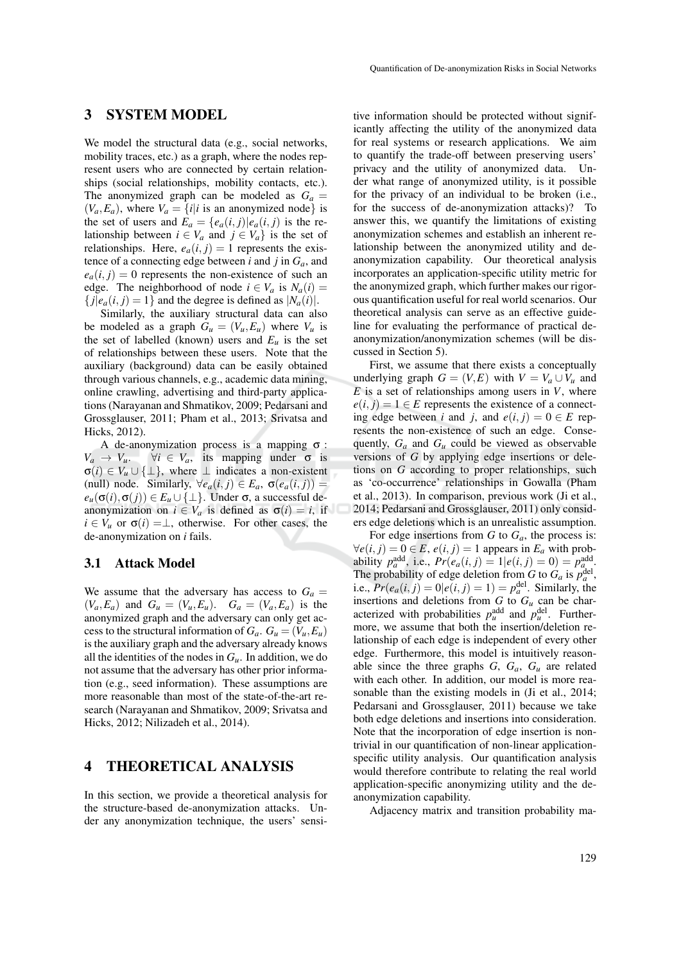### 3 SYSTEM MODEL

We model the structural data (e.g., social networks, mobility traces, etc.) as a graph, where the nodes represent users who are connected by certain relationships (social relationships, mobility contacts, etc.). The anonymized graph can be modeled as  $G_a$  =  $(V_a, E_a)$ , where  $V_a = \{i | i$  is an anonymized node} is the set of users and  $\vec{E}_a = \{e_a(i,j)|e_a(i,j)\}$  is the relationship between  $i \in V_a$  and  $j \in V_a$  is the set of relationships. Here,  $e_a(i, j) = 1$  represents the existence of a connecting edge between *i* and *j* in *Ga*, and  $e_a(i, j) = 0$  represents the non-existence of such an edge. The neighborhood of node  $i \in V_a$  is  $N_a(i)$  ${j|e_a(i, j) = 1}$  and the degree is defined as  $|N_a(i)|$ .

Similarly, the auxiliary structural data can also be modeled as a graph  $G_u = (V_u, E_u)$  where  $V_u$  is the set of labelled (known) users and  $E_u$  is the set of relationships between these users. Note that the auxiliary (background) data can be easily obtained through various channels, e.g., academic data mining, online crawling, advertising and third-party applications (Narayanan and Shmatikov, 2009; Pedarsani and Grossglauser, 2011; Pham et al., 2013; Srivatsa and Hicks, 2012).

A de-anonymization process is a mapping  $\sigma$ :<br>  $V_a \rightarrow V_u$ .  $\forall i \in V_a$ , its mapping under  $\sigma$  is  $\forall i \in V_a$ , its mapping under  $\sigma$  is  $\sigma(i) \in V_u \cup \{\perp\}$ , where  $\perp$  indicates a non-existent (null) node. Similarly,  $\forall e_a(i, j) \in E_a$ ,  $\sigma(e_a(i, j))$  =  $e_u(\sigma(i), \sigma(j)) \in E_u \cup \{\perp\}$ . Under  $\sigma$ , a successful deanonymization on  $i \in V_a$  is defined as  $\sigma(i) = i$ , if  $i \in V_u$  or  $\sigma(i) = \perp$ , otherwise. For other cases, the de-anonymization on *i* fails.

### 3.1 Attack Model

We assume that the adversary has access to  $G_a$  =  $(V_a, E_a)$  and  $G_u = (V_u, E_u)$ .  $G_a = (V_a, E_a)$  is the anonymized graph and the adversary can only get access to the structural information of  $G_a$ .  $G_u = (V_u, E_u)$ is the auxiliary graph and the adversary already knows all the identities of the nodes in  $G_u$ . In addition, we do not assume that the adversary has other prior information (e.g., seed information). These assumptions are more reasonable than most of the state-of-the-art research (Narayanan and Shmatikov, 2009; Srivatsa and Hicks, 2012; Nilizadeh et al., 2014).

### 4 THEORETICAL ANALYSIS

In this section, we provide a theoretical analysis for the structure-based de-anonymization attacks. Under any anonymization technique, the users' sensi-

tive information should be protected without significantly affecting the utility of the anonymized data for real systems or research applications. We aim to quantify the trade-off between preserving users' privacy and the utility of anonymized data. Under what range of anonymized utility, is it possible for the privacy of an individual to be broken (i.e., for the success of de-anonymization attacks)? To answer this, we quantify the limitations of existing anonymization schemes and establish an inherent relationship between the anonymized utility and deanonymization capability. Our theoretical analysis incorporates an application-specific utility metric for the anonymized graph, which further makes our rigorous quantification useful for real world scenarios. Our theoretical analysis can serve as an effective guideline for evaluating the performance of practical deanonymization/anonymization schemes (will be discussed in Section 5).

First, we assume that there exists a conceptually underlying graph  $G = (V, E)$  with  $V = V_a \cup V_u$  and *E* is a set of relationships among users in *V*, where  $e(i, j) = 1 \in E$  represents the existence of a connecting edge between *i* and *j*, and  $e(i, j) = 0 \in E$  represents the non-existence of such an edge. Consequently,  $G_a$  and  $G_u$  could be viewed as observable versions of *G* by applying edge insertions or deletions on *G* according to proper relationships, such as 'co-occurrence' relationships in Gowalla (Pham et al., 2013). In comparison, previous work (Ji et al., 2014; Pedarsani and Grossglauser, 2011) only considers edge deletions which is an unrealistic assumption.

For edge insertions from  $G$  to  $G_a$ , the process is:  $∀e(i, j) = 0 ∈ E, e(i, j) = 1$  appears in  $E_a$  with probability  $p_a^{\text{add}}$ , i.e.,  $Pr(e_a(i, j) = 1 | e(i, j) = 0) = p_{a_{\text{odd}}}^{\text{add}}$ . The probability of edge deletion from *G* to  $G_a$  is  $p_a^{\text{del}}$ , i.e.,  $Pr(e_a(i, j) = 0 | e(i, j) = 1) = p_a^{\text{del}}$ . Similarly, the insertions and deletions from  $G$  to  $G_u$  can be characterized with probabilities  $p_u^{\text{add}}$  and  $p_u^{\text{del}}$ . Furthermore, we assume that both the insertion/deletion relationship of each edge is independent of every other edge. Furthermore, this model is intuitively reasonable since the three graphs  $G$ ,  $G_a$ ,  $G_u$  are related with each other. In addition, our model is more reasonable than the existing models in (Ji et al., 2014; Pedarsani and Grossglauser, 2011) because we take both edge deletions and insertions into consideration. Note that the incorporation of edge insertion is nontrivial in our quantification of non-linear applicationspecific utility analysis. Our quantification analysis would therefore contribute to relating the real world application-specific anonymizing utility and the deanonymization capability.

Adjacency matrix and transition probability ma-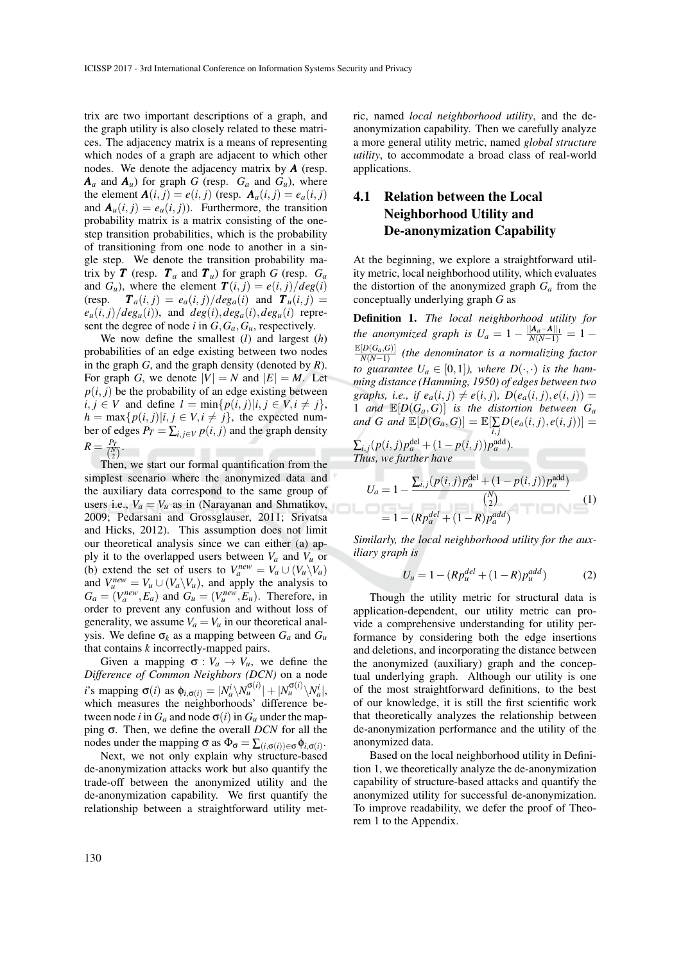trix are two important descriptions of a graph, and the graph utility is also closely related to these matrices. The adjacency matrix is a means of representing which nodes of a graph are adjacent to which other nodes. We denote the adjacency matrix by *A* (resp.  $A_a$  and  $A_a$  for graph *G* (resp.  $G_a$  and  $G_a$ ), where the element  $\mathbf{A}(i, j) = e(i, j)$  (resp.  $\mathbf{A}_a(i, j) = e_a(i, j)$ and  $A_u(i, j) = e_u(i, j)$ . Furthermore, the transition probability matrix is a matrix consisting of the onestep transition probabilities, which is the probability of transitioning from one node to another in a single step. We denote the transition probability matrix by **T** (resp.  $T_a$  and  $T_u$ ) for graph *G* (resp.  $G_a$ and  $G_u$ ), where the element  $\mathbf{T}(i, j) = e(i, j)/deg(i)$  $T_a(i, j) = e_a(i, j)/deg_a(i)$  and  $T_u(i, j) =$  $e_u(i, j)/deg_u(i)$ , and  $deg(i), deg_a(i), deg_u(i)$  represent the degree of node *i* in  $G$ ,  $G_a$ ,  $G_u$ , respectively.

We now define the smallest (*l*) and largest (*h*) probabilities of an edge existing between two nodes in the graph *G*, and the graph density (denoted by *R*). For graph *G*, we denote  $|V| = N$  and  $|E| = M$ . Let  $p(i, j)$  be the probability of an edge existing between  $i, j \in V$  and define  $l = \min\{p(i, j)|i, j \in V, i \neq j\},\$  $h = \max\{p(i, j)|i, j \in V, i \neq j\}$ , the expected number of edges  $P_T = \sum_{i,j \in V} p(i,j)$  and the graph density  $R = \frac{P_T}{\sqrt{N}}$  $\frac{P_T}{\binom{N}{2}}$ .

Then, we start our formal quantification from the simplest scenario where the anonymized data and the auxiliary data correspond to the same group of users i.e.,  $V_a = V_u$  as in (Narayanan and Shmatikov, 2009; Pedarsani and Grossglauser, 2011; Srivatsa and Hicks, 2012). This assumption does not limit our theoretical analysis since we can either (a) apply it to the overlapped users between  $V_a$  and  $V_u$  or (b) extend the set of users to  $V_a^{new} = V_a \cup (V_a \setminus V_a)$ and  $V_{\mu}^{new} = V_{\mu} \cup (V_a \backslash V_{\mu})$ , and apply the analysis to  $G_a = (V_a^{new}, E_a)$  and  $G_u = (V_u^{new}, E_u)$ . Therefore, in order to prevent any confusion and without loss of generality, we assume  $V_a = V_u$  in our theoretical analysis. We define  $\sigma_k$  as a mapping between  $G_a$  and  $G_u$ that contains *k* incorrectly-mapped pairs.

Given a mapping  $\sigma : V_a \to V_u$ , we define the *Difference of Common Neighbors (DCN)* on a node *i*'s mapping  $\sigma(i)$  as  $\phi_{i,\sigma(i)} = |N_a^i \setminus N_a^{\sigma(i)}| + |N_a^{\sigma(i)} \setminus N_a^i|$ , which measures the neighborhoods' difference between node *i* in  $G_a$  and node  $\sigma(i)$  in  $G_u$  under the mapping σ. Then, we define the overall *DCN* for all the nodes under the mapping  $\sigma$  as  $\Phi_{\sigma} = \sum_{(i,\sigma(i)) \in \sigma} \phi_{i,\sigma(i)}$ .

Next, we not only explain why structure-based de-anonymization attacks work but also quantify the trade-off between the anonymized utility and the de-anonymization capability. We first quantify the relationship between a straightforward utility metric, named *local neighborhood utility*, and the deanonymization capability. Then we carefully analyze a more general utility metric, named *global structure utility*, to accommodate a broad class of real-world applications.

# 4.1 Relation between the Local Neighborhood Utility and De-anonymization Capability

At the beginning, we explore a straightforward utility metric, local neighborhood utility, which evaluates the distortion of the anonymized graph *G<sup>a</sup>* from the conceptually underlying graph *G* as

Definition 1. *The local neighborhood utility for the anonymized graph is*  $U_a = 1 - \frac{||A_a - A||_1}{N(N-1)} = 1 \mathbb{E}[D(G_a,G)]$ *N*(*N*−1) *(the denominator is a normalizing factor to guarantee*  $U_a \in [0,1]$ *), where*  $D(\cdot, \cdot)$  *is the hamming distance (Hamming, 1950) of edges between two graphs, i.e., if*  $e_a(i, j) \neq e(i, j)$ ,  $D(e_a(i, j), e(i, j)) =$ 1 *and*  $\mathbb{E}[D(G_a, G)]$  *is the distortion between*  $G_a$ *and G* and  $\mathbb{E}[D(G_a, G)] = \mathbb{E}[\sum_{i,j} D(e_a(i,j), e(i,j))] =$  $\sum_{i,j} (p(i,j)p_a^{\text{del}} + (1-p(i,j))p_a^{\text{add}})$ *. Thus, we further have*

$$
U_a = 1 - \frac{\sum_{i,j} (p(i,j)p_a^{\text{del}} + (1 - p(i,j))p_a^{\text{add}})}{\binom{N}{2}}
$$
  
= 1 - (Rp\_a^{del} + (1 - R)p\_a^{add}) (1)

оL

*Similarly, the local neighborhood utility for the auxiliary graph is*

$$
U_u = 1 - (Rp_u^{del} + (1 - R)p_u^{add})
$$
 (2)

Though the utility metric for structural data is application-dependent, our utility metric can provide a comprehensive understanding for utility performance by considering both the edge insertions and deletions, and incorporating the distance between the anonymized (auxiliary) graph and the conceptual underlying graph. Although our utility is one of the most straightforward definitions, to the best of our knowledge, it is still the first scientific work that theoretically analyzes the relationship between de-anonymization performance and the utility of the anonymized data.

Based on the local neighborhood utility in Definition 1, we theoretically analyze the de-anonymization capability of structure-based attacks and quantify the anonymized utility for successful de-anonymization. To improve readability, we defer the proof of Theorem 1 to the Appendix.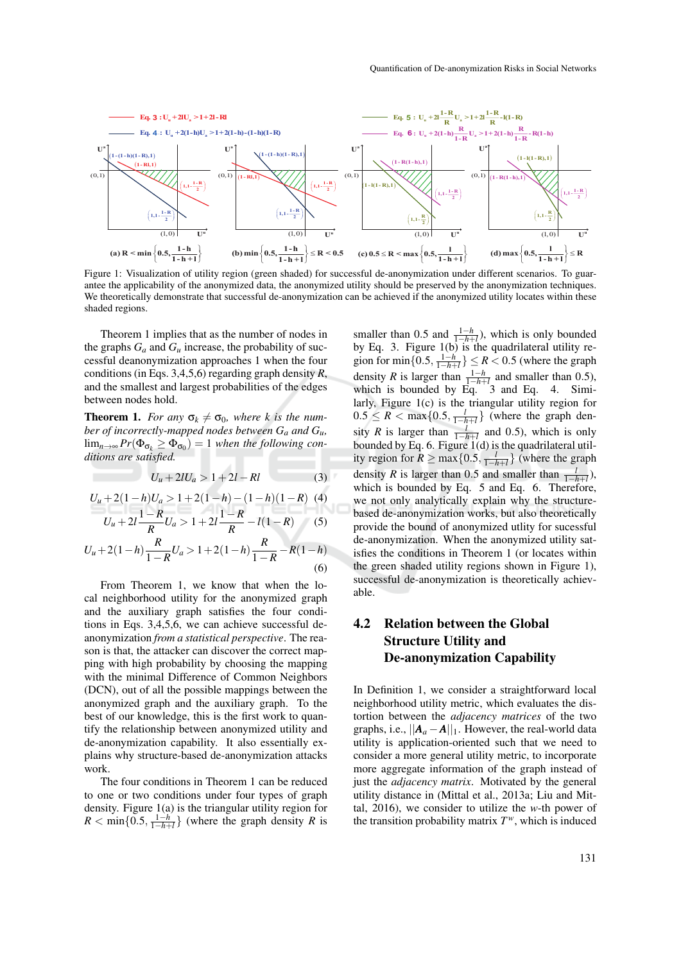

Figure 1: Visualization of utility region (green shaded) for successful de-anonymization under different scenarios. To guarantee the applicability of the anonymized data, the anonymized utility should be preserved by the anonymization techniques. We theoretically demonstrate that successful de-anonymization can be achieved if the anonymized utility locates within these shaded regions.

Theorem 1 implies that as the number of nodes in the graphs  $G_a$  and  $G_u$  increase, the probability of successful deanonymization approaches 1 when the four conditions (in Eqs. 3,4,5,6) regarding graph density *R*, and the smallest and largest probabilities of the edges between nodes hold.

**Theorem 1.** *For any*  $\sigma_k \neq \sigma_0$ *, where k is the number of incorrectly-mapped nodes between G<sup>a</sup> and Gu,*  $\lim_{n\to\infty}Pr(\Phi_{\sigma_k}\geq \Phi_{\sigma_0})=1$  when the following con*ditions are satisfied.*

$$
U_u + 2lU_a > 1 + 2l - Rl \tag{3}
$$

$$
U_u + 2(1 - h)U_a > 1 + 2(1 - h) - (1 - h)(1 - R) \tag{4}
$$
  

$$
U_u + 2l\frac{1 - R}{R}U_a > 1 + 2l\frac{1 - R}{R} - l(1 - R) \tag{5}
$$

$$
U_u + 2(1-h)\frac{R}{1-R}U_a > 1 + 2(1-h)\frac{R}{1-R} - R(1-h)
$$
\n(6)

From Theorem 1, we know that when the local neighborhood utility for the anonymized graph and the auxiliary graph satisfies the four conditions in Eqs. 3,4,5,6, we can achieve successful deanonymization *from a statistical perspective*. The reason is that, the attacker can discover the correct mapping with high probability by choosing the mapping with the minimal Difference of Common Neighbors (DCN), out of all the possible mappings between the anonymized graph and the auxiliary graph. To the best of our knowledge, this is the first work to quantify the relationship between anonymized utility and de-anonymization capability. It also essentially explains why structure-based de-anonymization attacks work.

The four conditions in Theorem 1 can be reduced to one or two conditions under four types of graph density. Figure 1(a) is the triangular utility region for  $R < \min\{0.5, \frac{1-h}{1-h+l}\}\$  (where the graph density *R* is

smaller than 0.5 and  $\frac{1-h}{1-h+h}$ , which is only bounded<br>has  $\Gamma_0 = 2$ . Eigens 1(b) in the sum dilateral utility as by Eq. 3. Figure 1(b) is the quadrilateral utility region for min $\{0.5, \frac{1-h}{1-h+l}\}\leq R < 0.5$  (where the graph density *R* is larger than  $\frac{1-h}{1-h+l}$  and smaller than 0.5), which is bounded by Eq. 3 and Eq. 4. Similarly, Figure 1(c) is the triangular utility region for  $0.5 \leq R < \max\{0.5, \frac{l}{1-h+l}\}\$  (where the graph density *R* is larger than  $\frac{l}{1-h+l}$  and 0.5), which is only bounded by Eq. 6. Figure 1(d) is the quadrilateral utility region for  $\overline{R} \ge \max\{0.5, \frac{l}{1-h+l}\}$  (where the graph density *R* is larger than 0.5 and smaller than  $\frac{l}{1-h+l}$ , which is bounded by Eq. 5 and Eq. 6. Therefore, we not only analytically explain why the structurebased de-anonymization works, but also theoretically provide the bound of anonymized utlity for sucessful de-anonymization. When the anonymized utility satisfies the conditions in Theorem 1 (or locates within the green shaded utility regions shown in Figure 1), successful de-anonymization is theoretically achievable.

# 4.2 Relation between the Global Structure Utility and De-anonymization Capability

In Definition 1, we consider a straightforward local neighborhood utility metric, which evaluates the distortion between the *adjacency matrices* of the two graphs, i.e.,  $||A_a - A||_1$ . However, the real-world data utility is application-oriented such that we need to consider a more general utility metric, to incorporate more aggregate information of the graph instead of just the *adjacency matrix*. Motivated by the general utility distance in (Mittal et al., 2013a; Liu and Mittal, 2016), we consider to utilize the *w*-th power of the transition probability matrix  $T^w$ , which is induced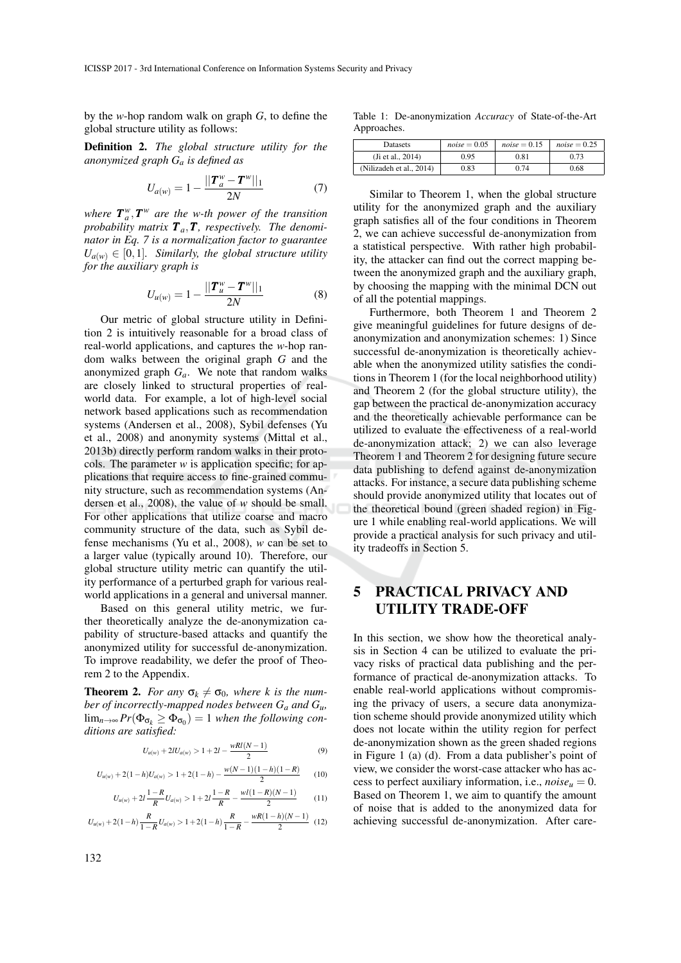by the *w*-hop random walk on graph *G*, to define the global structure utility as follows:

Definition 2. *The global structure utility for the anonymized graph G<sup>a</sup> is defined as*

$$
U_{a(w)} = 1 - \frac{||\boldsymbol{T}_a^w - \boldsymbol{T}^w||_1}{2N} \tag{7}
$$

where  $T_a^w, T^w$  are the w-th power of the transition probability matrix  $T_a$ ,  $T$ , respectively. The denomi*nator in Eq. 7 is a normalization factor to guarantee*  $U_{a(w)} \in [0,1]$ *. Similarly, the global structure utility for the auxiliary graph is*

$$
U_{u(w)} = 1 - \frac{||\boldsymbol{T}_{u}^{w} - \boldsymbol{T}^{w}||_{1}}{2N}
$$
 (8)

Our metric of global structure utility in Definition 2 is intuitively reasonable for a broad class of real-world applications, and captures the *w*-hop random walks between the original graph *G* and the anonymized graph *Ga*. We note that random walks are closely linked to structural properties of realworld data. For example, a lot of high-level social network based applications such as recommendation systems (Andersen et al., 2008), Sybil defenses (Yu et al., 2008) and anonymity systems (Mittal et al., 2013b) directly perform random walks in their protocols. The parameter *w* is application specific; for applications that require access to fine-grained community structure, such as recommendation systems (Andersen et al., 2008), the value of *w* should be small. For other applications that utilize coarse and macro community structure of the data, such as Sybil defense mechanisms (Yu et al., 2008), *w* can be set to a larger value (typically around 10). Therefore, our global structure utility metric can quantify the utility performance of a perturbed graph for various realworld applications in a general and universal manner.

Based on this general utility metric, we further theoretically analyze the de-anonymization capability of structure-based attacks and quantify the anonymized utility for successful de-anonymization. To improve readability, we defer the proof of Theorem 2 to the Appendix.

**Theorem 2.** *For any*  $\sigma_k \neq \sigma_0$ *, where k is the number of incorrectly-mapped nodes between G<sup>a</sup> and Gu,*  $\lim_{n\to\infty}Pr(\Phi_{\sigma_k} \geq \Phi_{\sigma_0}) = 1$  when the following con*ditions are satisfied:*

$$
U_{u(w)} + 2lU_{a(w)} > 1 + 2l - \frac{wRl(N-1)}{2}
$$
\n(9)

$$
U_{u(w)} + 2(1-h)U_{a(w)} > 1 + 2(1-h) - \frac{w(N-1)(1-h)(1-R)}{2}
$$
 (10)

$$
U_{u(w)} + 2l\frac{1-R}{R}U_{a(w)} > 1 + 2l\frac{1-R}{R} - \frac{wl(1-R)(N-1)}{2}
$$
 (11)

$$
U_{u(w)} + 2(1-h)\frac{R}{1-R}U_{a(w)} > 1 + 2(1-h)\frac{R}{1-R} - \frac{wR(1-h)(N-1)}{2}
$$
 (12)

Table 1: De-anonymization *Accuracy* of State-of-the-Art Approaches.

| <b>Datasets</b>          | $noise = 0.05$ | $noise = 0.15$ | $noise = 0.25$ |
|--------------------------|----------------|----------------|----------------|
| (Ji et al., 2014)        | 0.95           | $_{0.81}$      | 0.73           |
| (Nilizadeh et al., 2014) | 9.83           | 0.74           | 0.68           |

Similar to Theorem 1, when the global structure utility for the anonymized graph and the auxiliary graph satisfies all of the four conditions in Theorem 2, we can achieve successful de-anonymization from a statistical perspective. With rather high probability, the attacker can find out the correct mapping between the anonymized graph and the auxiliary graph, by choosing the mapping with the minimal DCN out of all the potential mappings.

Furthermore, both Theorem 1 and Theorem 2 give meaningful guidelines for future designs of deanonymization and anonymization schemes: 1) Since successful de-anonymization is theoretically achievable when the anonymized utility satisfies the conditions in Theorem 1 (for the local neighborhood utility) and Theorem 2 (for the global structure utility), the gap between the practical de-anonymization accuracy and the theoretically achievable performance can be utilized to evaluate the effectiveness of a real-world de-anonymization attack; 2) we can also leverage Theorem 1 and Theorem 2 for designing future secure data publishing to defend against de-anonymization attacks. For instance, a secure data publishing scheme should provide anonymized utility that locates out of the theoretical bound (green shaded region) in Figure 1 while enabling real-world applications. We will provide a practical analysis for such privacy and utility tradeoffs in Section 5.

# 5 PRACTICAL PRIVACY AND UTILITY TRADE-OFF

In this section, we show how the theoretical analysis in Section 4 can be utilized to evaluate the privacy risks of practical data publishing and the performance of practical de-anonymization attacks. To enable real-world applications without compromising the privacy of users, a secure data anonymization scheme should provide anonymized utility which does not locate within the utility region for perfect de-anonymization shown as the green shaded regions in Figure 1 (a) (d). From a data publisher's point of view, we consider the worst-case attacker who has access to perfect auxiliary information, i.e.,  $noise_u = 0$ . Based on Theorem 1, we aim to quantify the amount of noise that is added to the anonymized data for achieving successful de-anonymization. After care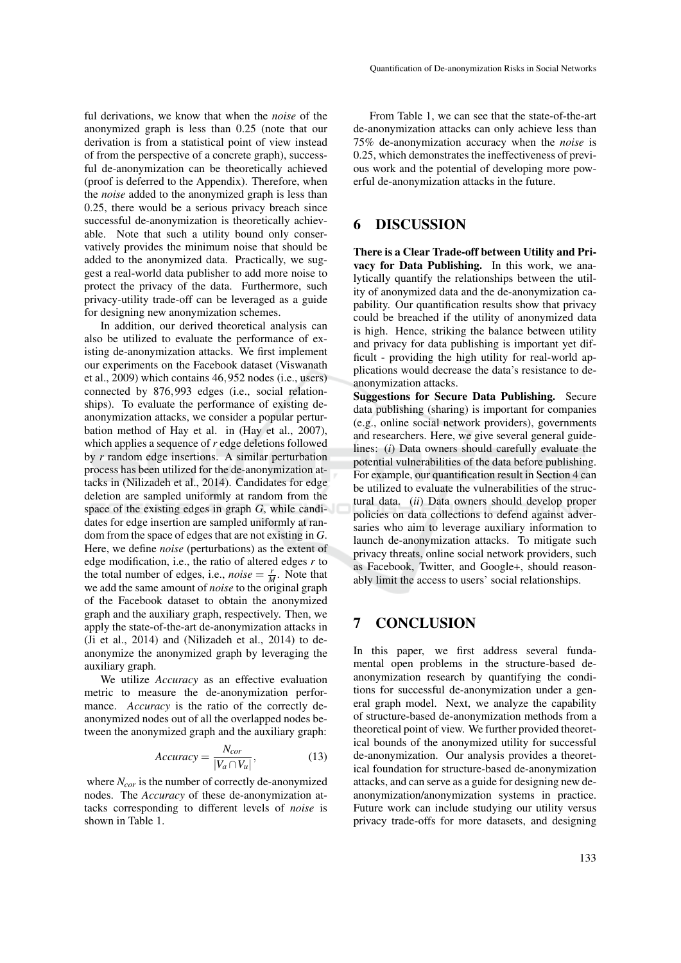ful derivations, we know that when the *noise* of the anonymized graph is less than 0.25 (note that our derivation is from a statistical point of view instead of from the perspective of a concrete graph), successful de-anonymization can be theoretically achieved (proof is deferred to the Appendix). Therefore, when the *noise* added to the anonymized graph is less than 0.25, there would be a serious privacy breach since successful de-anonymization is theoretically achievable. Note that such a utility bound only conservatively provides the minimum noise that should be added to the anonymized data. Practically, we suggest a real-world data publisher to add more noise to protect the privacy of the data. Furthermore, such privacy-utility trade-off can be leveraged as a guide for designing new anonymization schemes.

In addition, our derived theoretical analysis can also be utilized to evaluate the performance of existing de-anonymization attacks. We first implement our experiments on the Facebook dataset (Viswanath et al., 2009) which contains 46,952 nodes (i.e., users) connected by 876,993 edges (i.e., social relationships). To evaluate the performance of existing deanonymization attacks, we consider a popular perturbation method of Hay et al. in (Hay et al., 2007), which applies a sequence of *r* edge deletions followed by *r* random edge insertions. A similar perturbation process has been utilized for the de-anonymization attacks in (Nilizadeh et al., 2014). Candidates for edge deletion are sampled uniformly at random from the space of the existing edges in graph *G*, while candidates for edge insertion are sampled uniformly at random from the space of edges that are not existing in *G*. Here, we define *noise* (perturbations) as the extent of edge modification, i.e., the ratio of altered edges *r* to the total number of edges, i.e., *noise* =  $\frac{r}{M}$ . Note that we add the same amount of *noise* to the original graph of the Facebook dataset to obtain the anonymized graph and the auxiliary graph, respectively. Then, we apply the state-of-the-art de-anonymization attacks in (Ji et al., 2014) and (Nilizadeh et al., 2014) to deanonymize the anonymized graph by leveraging the auxiliary graph.

We utilize *Accuracy* as an effective evaluation metric to measure the de-anonymization performance. *Accuracy* is the ratio of the correctly deanonymized nodes out of all the overlapped nodes between the anonymized graph and the auxiliary graph:

$$
Accuracy = \frac{N_{cor}}{|V_a \cap V_u|},
$$
 (13)

where *Ncor* is the number of correctly de-anonymized nodes. The *Accuracy* of these de-anonymization attacks corresponding to different levels of *noise* is shown in Table 1.

From Table 1, we can see that the state-of-the-art de-anonymization attacks can only achieve less than 75% de-anonymization accuracy when the *noise* is 0.25, which demonstrates the ineffectiveness of previous work and the potential of developing more powerful de-anonymization attacks in the future.

## 6 DISCUSSION

There is a Clear Trade-off between Utility and Privacy for Data Publishing. In this work, we analytically quantify the relationships between the utility of anonymized data and the de-anonymization capability. Our quantification results show that privacy could be breached if the utility of anonymized data is high. Hence, striking the balance between utility and privacy for data publishing is important yet difficult - providing the high utility for real-world applications would decrease the data's resistance to deanonymization attacks.

Suggestions for Secure Data Publishing. Secure data publishing (sharing) is important for companies (e.g., online social network providers), governments and researchers. Here, we give several general guidelines: (*i*) Data owners should carefully evaluate the potential vulnerabilities of the data before publishing. For example, our quantification result in Section 4 can be utilized to evaluate the vulnerabilities of the structural data. (*ii*) Data owners should develop proper policies on data collections to defend against adversaries who aim to leverage auxiliary information to launch de-anonymization attacks. To mitigate such privacy threats, online social network providers, such as Facebook, Twitter, and Google+, should reasonably limit the access to users' social relationships.

## 7 CONCLUSION

In this paper, we first address several fundamental open problems in the structure-based deanonymization research by quantifying the conditions for successful de-anonymization under a general graph model. Next, we analyze the capability of structure-based de-anonymization methods from a theoretical point of view. We further provided theoretical bounds of the anonymized utility for successful de-anonymization. Our analysis provides a theoretical foundation for structure-based de-anonymization attacks, and can serve as a guide for designing new deanonymization/anonymization systems in practice. Future work can include studying our utility versus privacy trade-offs for more datasets, and designing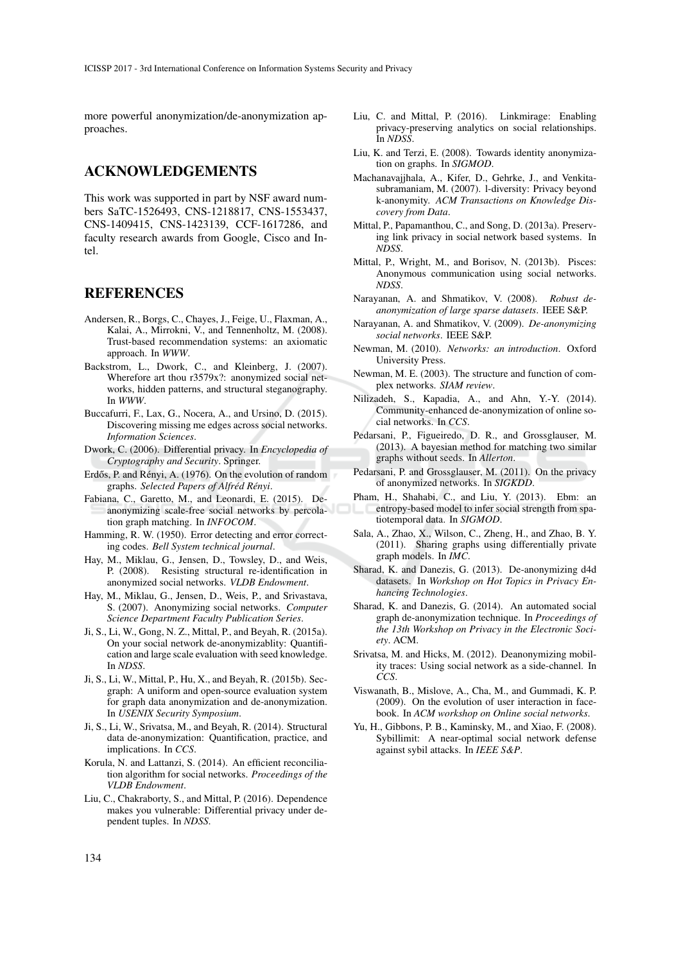more powerful anonymization/de-anonymization approaches.

## ACKNOWLEDGEMENTS

This work was supported in part by NSF award numbers SaTC-1526493, CNS-1218817, CNS-1553437, CNS-1409415, CNS-1423139, CCF-1617286, and faculty research awards from Google, Cisco and Intel.

### REFERENCES

- Andersen, R., Borgs, C., Chayes, J., Feige, U., Flaxman, A., Kalai, A., Mirrokni, V., and Tennenholtz, M. (2008). Trust-based recommendation systems: an axiomatic approach. In *WWW*.
- Backstrom, L., Dwork, C., and Kleinberg, J. (2007). Wherefore art thou r3579x?: anonymized social networks, hidden patterns, and structural steganography. In *WWW*.
- Buccafurri, F., Lax, G., Nocera, A., and Ursino, D. (2015). Discovering missing me edges across social networks. *Information Sciences*.
- Dwork, C. (2006). Differential privacy. In *Encyclopedia of Cryptography and Security*. Springer.
- Erdős, P. and Rényi, A. (1976). On the evolution of random graphs. Selected Papers of Alfréd Rényi.
- Fabiana, C., Garetto, M., and Leonardi, E. (2015). Deanonymizing scale-free social networks by percolation graph matching. In *INFOCOM*.
- Hamming, R. W. (1950). Error detecting and error correcting codes. *Bell System technical journal*.
- Hay, M., Miklau, G., Jensen, D., Towsley, D., and Weis, P. (2008). Resisting structural re-identification in anonymized social networks. *VLDB Endowment*.
- Hay, M., Miklau, G., Jensen, D., Weis, P., and Srivastava, S. (2007). Anonymizing social networks. *Computer Science Department Faculty Publication Series*.
- Ji, S., Li, W., Gong, N. Z., Mittal, P., and Beyah, R. (2015a). On your social network de-anonymizablity: Quantification and large scale evaluation with seed knowledge. In *NDSS*.
- Ji, S., Li, W., Mittal, P., Hu, X., and Beyah, R. (2015b). Secgraph: A uniform and open-source evaluation system for graph data anonymization and de-anonymization. In *USENIX Security Symposium*.
- Ji, S., Li, W., Srivatsa, M., and Beyah, R. (2014). Structural data de-anonymization: Quantification, practice, and implications. In *CCS*.
- Korula, N. and Lattanzi, S. (2014). An efficient reconciliation algorithm for social networks. *Proceedings of the VLDB Endowment*.
- Liu, C., Chakraborty, S., and Mittal, P. (2016). Dependence makes you vulnerable: Differential privacy under dependent tuples. In *NDSS*.
- Liu, C. and Mittal, P. (2016). Linkmirage: Enabling privacy-preserving analytics on social relationships. In *NDSS*.
- Liu, K. and Terzi, E. (2008). Towards identity anonymization on graphs. In *SIGMOD*.
- Machanavajjhala, A., Kifer, D., Gehrke, J., and Venkitasubramaniam, M. (2007). l-diversity: Privacy beyond k-anonymity. *ACM Transactions on Knowledge Discovery from Data*.
- Mittal, P., Papamanthou, C., and Song, D. (2013a). Preserving link privacy in social network based systems. In *NDSS*.
- Mittal, P., Wright, M., and Borisov, N. (2013b). Pisces: Anonymous communication using social networks. *NDSS*.
- Narayanan, A. and Shmatikov, V. (2008). *Robust deanonymization of large sparse datasets*. IEEE S&P.
- Narayanan, A. and Shmatikov, V. (2009). *De-anonymizing social networks*. IEEE S&P.
- Newman, M. (2010). *Networks: an introduction*. Oxford University Press.
- Newman, M. E. (2003). The structure and function of complex networks. *SIAM review*.
- Nilizadeh, S., Kapadia, A., and Ahn, Y.-Y. (2014). Community-enhanced de-anonymization of online social networks. In *CCS*.
- Pedarsani, P., Figueiredo, D. R., and Grossglauser, M. (2013). A bayesian method for matching two similar graphs without seeds. In *Allerton*.
- Pedarsani, P. and Grossglauser, M. (2011). On the privacy of anonymized networks. In *SIGKDD*.
- Pham, H., Shahabi, C., and Liu, Y. (2013). Ebm: an entropy-based model to infer social strength from spatiotemporal data. In *SIGMOD*.
- Sala, A., Zhao, X., Wilson, C., Zheng, H., and Zhao, B. Y. (2011). Sharing graphs using differentially private graph models. In *IMC*.
- Sharad, K. and Danezis, G. (2013). De-anonymizing d4d datasets. In *Workshop on Hot Topics in Privacy Enhancing Technologies*.
- Sharad, K. and Danezis, G. (2014). An automated social graph de-anonymization technique. In *Proceedings of the 13th Workshop on Privacy in the Electronic Society*. ACM.
- Srivatsa, M. and Hicks, M. (2012). Deanonymizing mobility traces: Using social network as a side-channel. In *CCS*.
- Viswanath, B., Mislove, A., Cha, M., and Gummadi, K. P. (2009). On the evolution of user interaction in facebook. In *ACM workshop on Online social networks*.
- Yu, H., Gibbons, P. B., Kaminsky, M., and Xiao, F. (2008). Sybillimit: A near-optimal social network defense against sybil attacks. In *IEEE S&P*.